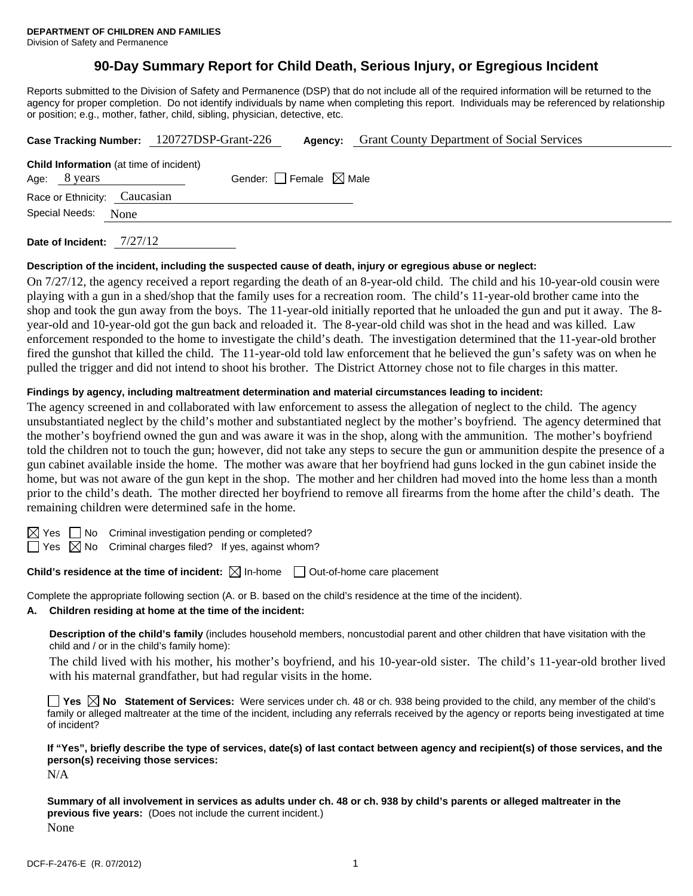# **90-Day Summary Report for Child Death, Serious Injury, or Egregious Incident**

Reports submitted to the Division of Safety and Permanence (DSP) that do not include all of the required information will be returned to the agency for proper completion. Do not identify individuals by name when completing this report. Individuals may be referenced by relationship or position; e.g., mother, father, child, sibling, physician, detective, etc.

|                                                 | Case Tracking Number: 120727DSP-Grant-226 | Agency: | <b>Grant County Department of Social Services</b> |  |
|-------------------------------------------------|-------------------------------------------|---------|---------------------------------------------------|--|
| <b>Child Information</b> (at time of incident)  |                                           |         |                                                   |  |
| Gender: Female $\boxtimes$ Male<br>Age: 8 years |                                           |         |                                                   |  |
| Race or Ethnicity: Caucasian                    |                                           |         |                                                   |  |
| Special Needs: None                             |                                           |         |                                                   |  |
|                                                 |                                           |         |                                                   |  |

**Date of Incident:** 7/27/12

## **Description of the incident, including the suspected cause of death, injury or egregious abuse or neglect:**

On 7/27/12, the agency received a report regarding the death of an 8-year-old child. The child and his 10-year-old cousin were playing with a gun in a shed/shop that the family uses for a recreation room. The child's 11-year-old brother came into the shop and took the gun away from the boys. The 11-year-old initially reported that he unloaded the gun and put it away. The 8 year-old and 10-year-old got the gun back and reloaded it. The 8-year-old child was shot in the head and was killed. Law enforcement responded to the home to investigate the child's death. The investigation determined that the 11-year-old brother fired the gunshot that killed the child. The 11-year-old told law enforcement that he believed the gun's safety was on when he pulled the trigger and did not intend to shoot his brother. The District Attorney chose not to file charges in this matter.

# **Findings by agency, including maltreatment determination and material circumstances leading to incident:**

The agency screened in and collaborated with law enforcement to assess the allegation of neglect to the child. The agency unsubstantiated neglect by the child's mother and substantiated neglect by the mother's boyfriend. The agency determined that the mother's boyfriend owned the gun and was aware it was in the shop, along with the ammunition. The mother's boyfriend told the children not to touch the gun; however, did not take any steps to secure the gun or ammunition despite the presence of a gun cabinet available inside the home. The mother was aware that her boyfriend had guns locked in the gun cabinet inside the home, but was not aware of the gun kept in the shop. The mother and her children had moved into the home less than a month prior to the child's death. The mother directed her boyfriend to remove all firearms from the home after the child's death. The remaining children were determined safe in the home.

 $\boxtimes$  Yes  $\Box$  No Criminal investigation pending or completed?

 $\Box$  Yes  $\boxtimes$  No Criminal charges filed? If yes, against whom?

**Child's residence at the time of incident:** ⊠ In-home □ Out-of-home care placement

Complete the appropriate following section (A. or B. based on the child's residence at the time of the incident).

#### **A. Children residing at home at the time of the incident:**

**Description of the child's family** (includes household members, noncustodial parent and other children that have visitation with the child and / or in the child's family home):

The child lived with his mother, his mother's boyfriend, and his 10-year-old sister. The child's 11-year-old brother lived with his maternal grandfather, but had regular visits in the home.

**Yes**  $\boxtimes$  **No** Statement of Services: Were services under ch. 48 or ch. 938 being provided to the child, any member of the child's family or alleged maltreater at the time of the incident, including any referrals received by the agency or reports being investigated at time of incident?

**If "Yes", briefly describe the type of services, date(s) of last contact between agency and recipient(s) of those services, and the person(s) receiving those services:** 

N/A

**Summary of all involvement in services as adults under ch. 48 or ch. 938 by child's parents or alleged maltreater in the previous five years:** (Does not include the current incident.) None